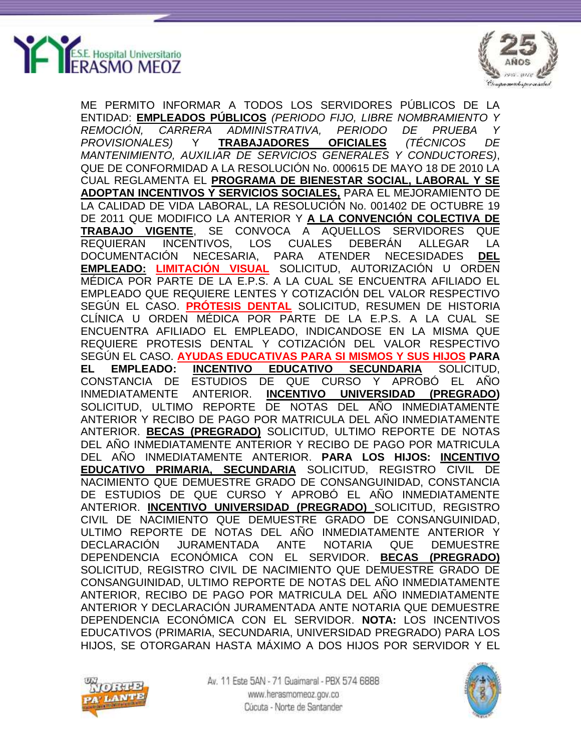



ME PERMITO INFORMAR A TODOS LOS SERVIDORES PÚBLICOS DE LA ENTIDAD: **EMPLEADOS PÚBLICOS** *(PERIODO FIJO, LIBRE NOMBRAMIENTO Y REMOCIÓN, CARRERA ADMINISTRATIVA, PERIODO DE PRUEBA Y PROVISIONALES)* Y **TRABAJADORES OFICIALES** *(TÉCNICOS DE MANTENIMIENTO, AUXILIAR DE SERVICIOS GENERALES Y CONDUCTORES)*, QUE DE CONFORMIDAD A LA RESOLUCIÓN No. 000615 DE MAYO 18 DE 2010 LA CUAL REGLAMENTA EL **PROGRAMA DE BIENESTAR SOCIAL, LABORAL Y SE ADOPTAN INCENTIVOS Y SERVICIOS SOCIALES,** PARA EL MEJORAMIENTO DE LA CALIDAD DE VIDA LABORAL, LA RESOLUCIÓN No. 001402 DE OCTUBRE 19 DE 2011 QUE MODIFICO LA ANTERIOR Y **A LA CONVENCIÓN COLECTIVA DE TRABAJO VIGENTE**, SE CONVOCA A AQUELLOS SERVIDORES QUE REQUIERAN INCENTIVOS, LOS CUALES DEBERÁN ALLEGAR LA DOCUMENTACIÓN NECESARIA, PARA ATENDER NECESIDADES **DEL EMPLEADO: LIMITACIÓN VISUAL** SOLICITUD, AUTORIZACIÓN U ORDEN MÉDICA POR PARTE DE LA E.P.S. A LA CUAL SE ENCUENTRA AFILIADO EL EMPLEADO QUE REQUIERE LENTES Y COTIZACIÓN DEL VALOR RESPECTIVO SEGÚN EL CASO. **PRÓTESIS DENTAL** SOLICITUD, RESUMEN DE HISTORIA CLÍNICA U ORDEN MÉDICA POR PARTE DE LA E.P.S. A LA CUAL SE ENCUENTRA AFILIADO EL EMPLEADO, INDICANDOSE EN LA MISMA QUE REQUIERE PROTESIS DENTAL Y COTIZACIÓN DEL VALOR RESPECTIVO SEGÚN EL CASO. **AYUDAS EDUCATIVAS PARA SI MISMOS Y SUS HIJOS PARA EL EMPLEADO: INCENTIVO EDUCATIVO SECUNDARIA** SOLICITUD, CONSTANCIA DE ESTUDIOS DE QUE CURSO Y APROBÓ EL AÑO INMEDIATAMENTE ANTERIOR. **INCENTIVO UNIVERSIDAD (PREGRADO)** SOLICITUD, ULTIMO REPORTE DE NOTAS DEL AÑO INMEDIATAMENTE ANTERIOR Y RECIBO DE PAGO POR MATRICULA DEL AÑO INMEDIATAMENTE ANTERIOR. **BECAS (PREGRADO)** SOLICITUD, ULTIMO REPORTE DE NOTAS DEL AÑO INMEDIATAMENTE ANTERIOR Y RECIBO DE PAGO POR MATRICULA DEL AÑO INMEDIATAMENTE ANTERIOR. **PARA LOS HIJOS: INCENTIVO EDUCATIVO PRIMARIA, SECUNDARIA** SOLICITUD, REGISTRO CIVIL DE NACIMIENTO QUE DEMUESTRE GRADO DE CONSANGUINIDAD, CONSTANCIA DE ESTUDIOS DE QUE CURSO Y APROBÓ EL AÑO INMEDIATAMENTE ANTERIOR. **INCENTIVO UNIVERSIDAD (PREGRADO)** SOLICITUD, REGISTRO CIVIL DE NACIMIENTO QUE DEMUESTRE GRADO DE CONSANGUINIDAD, ULTIMO REPORTE DE NOTAS DEL AÑO INMEDIATAMENTE ANTERIOR Y DECLARACIÓN JURAMENTADA ANTE NOTARIA QUE DEMUESTRE DEPENDENCIA ECONÓMICA CON EL SERVIDOR. **BECAS (PREGRADO)** SOLICITUD, REGISTRO CIVIL DE NACIMIENTO QUE DEMUESTRE GRADO DE CONSANGUINIDAD, ULTIMO REPORTE DE NOTAS DEL AÑO INMEDIATAMENTE ANTERIOR, RECIBO DE PAGO POR MATRICULA DEL AÑO INMEDIATAMENTE ANTERIOR Y DECLARACIÓN JURAMENTADA ANTE NOTARIA QUE DEMUESTRE DEPENDENCIA ECONÓMICA CON EL SERVIDOR. **NOTA:** LOS INCENTIVOS EDUCATIVOS (PRIMARIA, SECUNDARIA, UNIVERSIDAD PREGRADO) PARA LOS HIJOS, SE OTORGARAN HASTA MÁXIMO A DOS HIJOS POR SERVIDOR Y EL